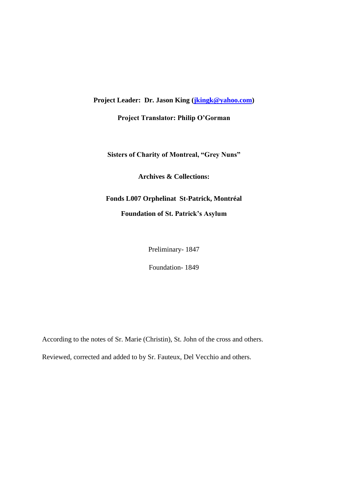**Project Leader: Dr. Jason King [\(jkingk@yahoo.com\)](mailto:jkingk@yahoo.com)**

**Project Translator: Philip O'Gorman**

**Sisters of Charity of Montreal, "Grey Nuns"**

**Archives & Collections:**

# **Fonds L007 Orphelinat St-Patrick, Montréal Foundation of St. Patrick's Asylum**

Preliminary- 1847

Foundation- 1849

According to the notes of Sr. Marie (Christin), St. John of the cross and others.

Reviewed, corrected and added to by Sr. Fauteux, Del Vecchio and others.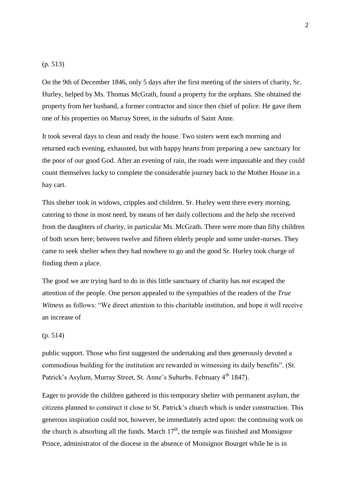#### (p. 513)

On the 9th of December 1846, only 5 days after the first meeting of the sisters of charity, Sr. Hurley, helped by Ms. Thomas McGrath, found a property for the orphans. She obtained the property from her husband, a former contractor and since then chief of police. He gave them one of his properties on Murray Street, in the suburbs of Saint Anne.

It took several days to clean and ready the house. Two sisters went each morning and returned each evening, exhausted, but with happy hearts from preparing a new sanctuary for the poor of our good God. After an evening of rain, the roads were impassable and they could count themselves lucky to complete the considerable journey back to the Mother House in a hay cart.

This shelter took in widows, cripples and children. Sr. Hurley went there every morning, catering to those in most need, by means of her daily collections and the help she received from the daughters of charity, in particular Ms. McGrath. There were more than fifty children of both sexes here; between twelve and fifteen elderly people and some under-nurses. They came to seek shelter when they had nowhere to go and the good Sr. Hurley took charge of finding them a place.

The good we are trying hard to do in this little sanctuary of charity has not escaped the attention of the people. One person appealed to the sympathies of the readers of the *True Witness* as follows: "We direct attention to this charitable institution, and hope it will receive an increase of

# (p. 514)

public support. Those who first suggested the undertaking and then generously devoted a commodious building for the institution are rewarded in witnessing its daily benefits". (St. Patrick's Asylum, Murray Street, St. Anne's Suburbs. February 4<sup>th</sup> 1847).

Eager to provide the children gathered in this temporary shelter with permanent asylum, the citizens planned to construct it close to St. Patrick's church which is under construction. This generous inspiration could not, however, be immediately acted upon: the continuing work on the church is absorbing all the funds. March  $17<sup>th</sup>$ , the temple was finished and Monsignor Prince, administrator of the diocese in the absence of Monsignor Bourget while he is in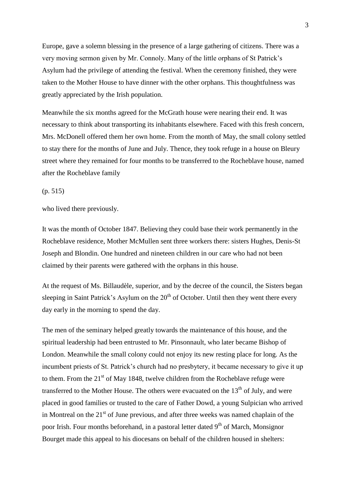Europe, gave a solemn blessing in the presence of a large gathering of citizens. There was a very moving sermon given by Mr. Connoly. Many of the little orphans of St Patrick's Asylum had the privilege of attending the festival. When the ceremony finished, they were taken to the Mother House to have dinner with the other orphans. This thoughtfulness was greatly appreciated by the Irish population.

Meanwhile the six months agreed for the McGrath house were nearing their end. It was necessary to think about transporting its inhabitants elsewhere. Faced with this fresh concern, Mrs. McDonell offered them her own home. From the month of May, the small colony settled to stay there for the months of June and July. Thence, they took refuge in a house on Bleury street where they remained for four months to be transferred to the Rocheblave house, named after the Rocheblave family

(p. 515)

who lived there previously.

It was the month of October 1847. Believing they could base their work permanently in the Rocheblave residence, Mother McMullen sent three workers there: sisters Hughes, Denis-St Joseph and Blondin. One hundred and nineteen children in our care who had not been claimed by their parents were gathered with the orphans in this house.

At the request of Ms. Billaudèle, superior, and by the decree of the council, the Sisters began sleeping in Saint Patrick's Asylum on the  $20<sup>th</sup>$  of October. Until then they went there every day early in the morning to spend the day.

The men of the seminary helped greatly towards the maintenance of this house, and the spiritual leadership had been entrusted to Mr. Pinsonnault, who later became Bishop of London. Meanwhile the small colony could not enjoy its new resting place for long. As the incumbent priests of St. Patrick's church had no presbytery, it became necessary to give it up to them. From the  $21<sup>st</sup>$  of May 1848, twelve children from the Rocheblave refuge were transferred to the Mother House. The others were evacuated on the  $13<sup>th</sup>$  of July, and were placed in good families or trusted to the care of Father Dowd, a young Sulpician who arrived in Montreal on the  $21<sup>st</sup>$  of June previous, and after three weeks was named chaplain of the poor Irish. Four months beforehand, in a pastoral letter dated 9<sup>th</sup> of March, Monsignor Bourget made this appeal to his diocesans on behalf of the children housed in shelters: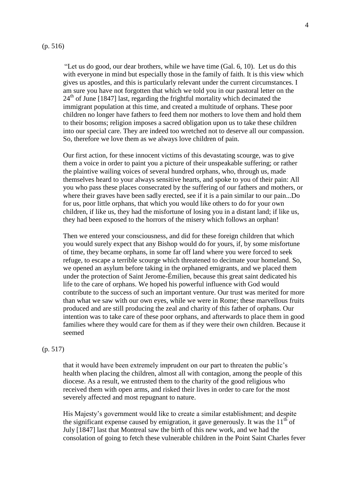#### (p. 516)

"Let us do good, our dear brothers, while we have time (Gal. 6, 10). Let us do this with everyone in mind but especially those in the family of faith. It is this view which gives us apostles, and this is particularly relevant under the current circumstances. I am sure you have not forgotten that which we told you in our pastoral letter on the  $24<sup>th</sup>$  of June [1847] last, regarding the frightful mortality which decimated the immigrant population at this time, and created a multitude of orphans. These poor children no longer have fathers to feed them nor mothers to love them and hold them to their bosoms; religion imposes a sacred obligation upon us to take these children into our special care. They are indeed too wretched not to deserve all our compassion. So, therefore we love them as we always love children of pain.

Our first action, for these innocent victims of this devastating scourge, was to give them a voice in order to paint you a picture of their unspeakable suffering; or rather the plaintive wailing voices of several hundred orphans, who, through us, made themselves heard to your always sensitive hearts, and spoke to you of their pain: All you who pass these places consecrated by the suffering of our fathers and mothers, or where their graves have been sadly erected, see if it is a pain similar to our pain...Do for us, poor little orphans, that which you would like others to do for your own children, if like us, they had the misfortune of losing you in a distant land; if like us, they had been exposed to the horrors of the misery which follows an orphan!

Then we entered your consciousness, and did for these foreign children that which you would surely expect that any Bishop would do for yours, if, by some misfortune of time, they became orphans, in some far off land where you were forced to seek refuge, to escape a terrible scourge which threatened to decimate your homeland. So, we opened an asylum before taking in the orphaned emigrants, and we placed them under the protection of Saint Jerome-Émilien, because this great saint dedicated his life to the care of orphans. We hoped his powerful influence with God would contribute to the success of such an important venture. Our trust was merited for more than what we saw with our own eyes, while we were in Rome; these marvellous fruits produced and are still producing the zeal and charity of this father of orphans. Our intention was to take care of these poor orphans, and afterwards to place them in good families where they would care for them as if they were their own children. Because it seemed

# (p. 517)

that it would have been extremely imprudent on our part to threaten the public's health when placing the children, almost all with contagion, among the people of this diocese. As a result, we entrusted them to the charity of the good religious who received them with open arms, and risked their lives in order to care for the most severely affected and most repugnant to nature.

His Majesty's government would like to create a similar establishment; and despite the significant expense caused by emigration, it gave generously. It was the  $11<sup>th</sup>$  of July [1847] last that Montreal saw the birth of this new work, and we had the consolation of going to fetch these vulnerable children in the Point Saint Charles fever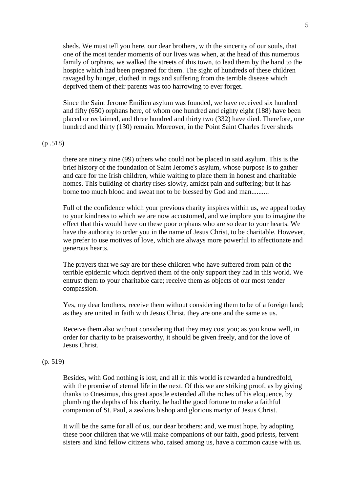sheds. We must tell you here, our dear brothers, with the sincerity of our souls, that one of the most tender moments of our lives was when, at the head of this numerous family of orphans, we walked the streets of this town, to lead them by the hand to the hospice which had been prepared for them. The sight of hundreds of these children ravaged by hunger, clothed in rags and suffering from the terrible disease which deprived them of their parents was too harrowing to ever forget.

Since the Saint Jerome Émilien asylum was founded, we have received six hundred and fifty (650) orphans here, of whom one hundred and eighty eight (188) have been placed or reclaimed, and three hundred and thirty two (332) have died. Therefore, one hundred and thirty (130) remain. Moreover, in the Point Saint Charles fever sheds

#### (p .518)

there are ninety nine (99) others who could not be placed in said asylum. This is the brief history of the foundation of Saint Jerome's asylum, whose purpose is to gather and care for the Irish children, while waiting to place them in honest and charitable homes. This building of charity rises slowly, amidst pain and suffering; but it has borne too much blood and sweat not to be blessed by God and man..........

Full of the confidence which your previous charity inspires within us, we appeal today to your kindness to which we are now accustomed, and we implore you to imagine the effect that this would have on these poor orphans who are so dear to your hearts. We have the authority to order you in the name of Jesus Christ, to be charitable. However, we prefer to use motives of love, which are always more powerful to affectionate and generous hearts.

The prayers that we say are for these children who have suffered from pain of the terrible epidemic which deprived them of the only support they had in this world. We entrust them to your charitable care; receive them as objects of our most tender compassion.

Yes, my dear brothers, receive them without considering them to be of a foreign land; as they are united in faith with Jesus Christ, they are one and the same as us.

Receive them also without considering that they may cost you; as you know well, in order for charity to be praiseworthy, it should be given freely, and for the love of Jesus Christ.

## (p. 519)

Besides, with God nothing is lost, and all in this world is rewarded a hundredfold, with the promise of eternal life in the next. Of this we are striking proof, as by giving thanks to Onesimus, this great apostle extended all the riches of his eloquence, by plumbing the depths of his charity, he had the good fortune to make a faithful companion of St. Paul, a zealous bishop and glorious martyr of Jesus Christ.

It will be the same for all of us, our dear brothers: and, we must hope, by adopting these poor children that we will make companions of our faith, good priests, fervent sisters and kind fellow citizens who, raised among us, have a common cause with us.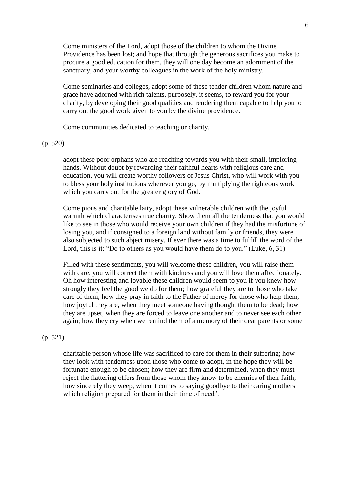Come ministers of the Lord, adopt those of the children to whom the Divine Providence has been lost; and hope that through the generous sacrifices you make to procure a good education for them, they will one day become an adornment of the sanctuary, and your worthy colleagues in the work of the holy ministry.

Come seminaries and colleges, adopt some of these tender children whom nature and grace have adorned with rich talents, purposely, it seems, to reward you for your charity, by developing their good qualities and rendering them capable to help you to carry out the good work given to you by the divine providence.

Come communities dedicated to teaching or charity,

#### (p. 520)

adopt these poor orphans who are reaching towards you with their small, imploring hands. Without doubt by rewarding their faithful hearts with religious care and education, you will create worthy followers of Jesus Christ, who will work with you to bless your holy institutions wherever you go, by multiplying the righteous work which you carry out for the greater glory of God.

Come pious and charitable laity, adopt these vulnerable children with the joyful warmth which characterises true charity. Show them all the tenderness that you would like to see in those who would receive your own children if they had the misfortune of losing you, and if consigned to a foreign land without family or friends, they were also subjected to such abject misery. If ever there was a time to fulfill the word of the Lord, this is it: "Do to others as you would have them do to you." (Luke, 6, 31)

Filled with these sentiments, you will welcome these children, you will raise them with care, you will correct them with kindness and you will love them affectionately. Oh how interesting and lovable these children would seem to you if you knew how strongly they feel the good we do for them; how grateful they are to those who take care of them, how they pray in faith to the Father of mercy for those who help them, how joyful they are, when they meet someone having thought them to be dead; how they are upset, when they are forced to leave one another and to never see each other again; how they cry when we remind them of a memory of their dear parents or some

# (p. 521)

charitable person whose life was sacrificed to care for them in their suffering; how they look with tenderness upon those who come to adopt, in the hope they will be fortunate enough to be chosen; how they are firm and determined, when they must reject the flattering offers from those whom they know to be enemies of their faith; how sincerely they weep, when it comes to saying goodbye to their caring mothers which religion prepared for them in their time of need".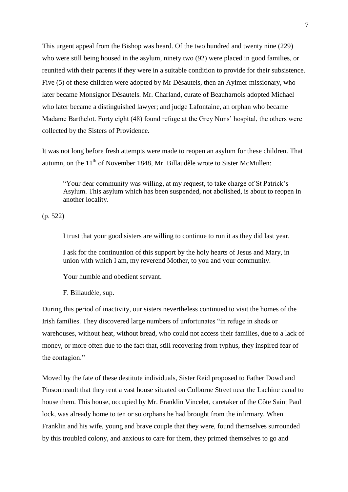This urgent appeal from the Bishop was heard. Of the two hundred and twenty nine (229) who were still being housed in the asylum, ninety two (92) were placed in good families, or reunited with their parents if they were in a suitable condition to provide for their subsistence. Five (5) of these children were adopted by Mr Désautels, then an Aylmer missionary, who later became Monsignor Désautels. Mr. Charland, curate of Beauharnois adopted Michael who later became a distinguished lawyer; and judge Lafontaine, an orphan who became Madame Barthelot. Forty eight (48) found refuge at the Grey Nuns' hospital, the others were collected by the Sisters of Providence.

It was not long before fresh attempts were made to reopen an asylum for these children. That autumn, on the  $11<sup>th</sup>$  of November 1848, Mr. Billaudèle wrote to Sister McMullen:

"Your dear community was willing, at my request, to take charge of St Patrick's Asylum. This asylum which has been suspended, not abolished, is about to reopen in another locality.

(p. 522)

I trust that your good sisters are willing to continue to run it as they did last year.

I ask for the continuation of this support by the holy hearts of Jesus and Mary, in union with which I am, my reverend Mother, to you and your community.

Your humble and obedient servant.

F. Billaudèle, sup.

During this period of inactivity, our sisters nevertheless continued to visit the homes of the Irish families. They discovered large numbers of unfortunates "in refuge in sheds or warehouses, without heat, without bread, who could not access their families, due to a lack of money, or more often due to the fact that, still recovering from typhus, they inspired fear of the contagion."

Moved by the fate of these destitute individuals, Sister Reid proposed to Father Dowd and Pinsonneault that they rent a vast house situated on Colborne Street near the Lachine canal to house them. This house, occupied by Mr. Franklin Vincelet, caretaker of the Côte Saint Paul lock, was already home to ten or so orphans he had brought from the infirmary. When Franklin and his wife, young and brave couple that they were, found themselves surrounded by this troubled colony, and anxious to care for them, they primed themselves to go and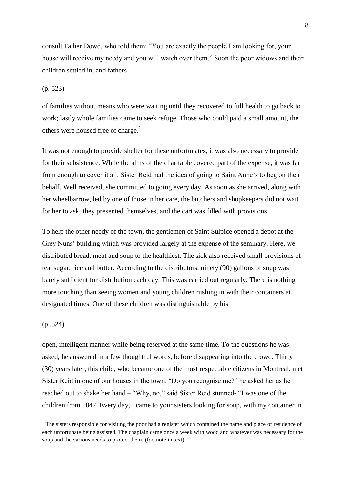consult Father Dowd, who told them: "You are exactly the people I am looking for, your house will receive my needy and you will watch over them." Soon the poor widows and their children settled in, and fathers

# (p. 523)

of families without means who were waiting until they recovered to full health to go back to work; lastly whole families came to seek refuge. Those who could paid a small amount, the others were housed free of charge.<sup>1</sup>

It was not enough to provide shelter for these unfortunates, it was also necessary to provide for their subsistence. While the alms of the charitable covered part of the expense, it was far from enough to cover it all. Sister Reid had the idea of going to Saint Anne's to beg on their behalf. Well received, she committed to going every day. As soon as she arrived, along with her wheelbarrow, led by one of those in her care, the butchers and shopkeepers did not wait for her to ask, they presented themselves, and the cart was filled with provisions.

To help the other needy of the town, the gentlemen of Saint Sulpice opened a depot at the Grey Nuns' building which was provided largely at the expense of the seminary. Here, we distributed bread, meat and soup to the healthiest. The sick also received small provisions of tea, sugar, rice and butter. According to the distributors, ninety (90) gallons of soup was barely sufficient for distribution each day. This was carried out regularly. There is nothing more touching than seeing women and young children rushing in with their containers at designated times. One of these children was distinguishable by his

#### (p .524)

**.** 

open, intelligent manner while being reserved at the same time. To the questions he was asked, he answered in a few thoughtful words, before disappearing into the crowd. Thirty (30) years later, this child, who became one of the most respectable citizens in Montreal, met Sister Reid in one of our houses in the town. "Do you recognise me?" he asked her as he reached out to shake her hand – "Why, no," said Sister Reid stunned- "I was one of the children from 1847. Every day, I came to your sisters looking for soup, with my container in

<sup>&</sup>lt;sup>1</sup> The sisters responsible for visiting the poor had a register which contained the name and place of residence of each unfortunate being assisted. The chaplain came once a week with wood and whatever was necessary for the soup and the various needs to protect them. (footnote in text)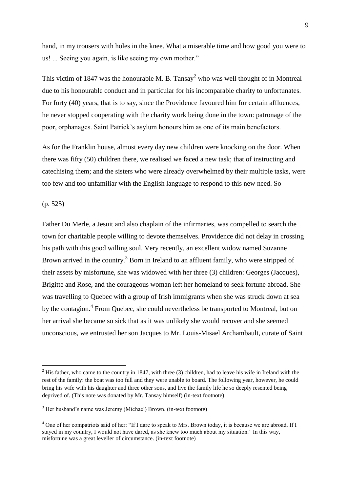hand, in my trousers with holes in the knee. What a miserable time and how good you were to us! ... Seeing you again, is like seeing my own mother."

This victim of 1847 was the honourable M. B. Tansay<sup>2</sup> who was well thought of in Montreal due to his honourable conduct and in particular for his incomparable charity to unfortunates. For forty (40) years, that is to say, since the Providence favoured him for certain affluences, he never stopped cooperating with the charity work being done in the town: patronage of the poor, orphanages. Saint Patrick's asylum honours him as one of its main benefactors.

As for the Franklin house, almost every day new children were knocking on the door. When there was fifty (50) children there, we realised we faced a new task; that of instructing and catechising them; and the sisters who were already overwhelmed by their multiple tasks, were too few and too unfamiliar with the English language to respond to this new need. So

(p. 525)

**.** 

Father Du Merle, a Jesuit and also chaplain of the infirmaries, was compelled to search the town for charitable people willing to devote themselves. Providence did not delay in crossing his path with this good willing soul. Very recently, an excellent widow named Suzanne Brown arrived in the country.<sup>3</sup> Born in Ireland to an affluent family, who were stripped of their assets by misfortune, she was widowed with her three (3) children: Georges (Jacques), Brigitte and Rose, and the courageous woman left her homeland to seek fortune abroad. She was travelling to Quebec with a group of Irish immigrants when she was struck down at sea by the contagion.<sup>4</sup> From Quebec, she could nevertheless be transported to Montreal, but on her arrival she became so sick that as it was unlikely she would recover and she seemed unconscious, we entrusted her son Jacques to Mr. Louis-Misael Archambault, curate of Saint

 $2$  His father, who came to the country in 1847, with three (3) children, had to leave his wife in Ireland with the rest of the family: the boat was too full and they were unable to board. The following year, however, he could bring his wife with his daughter and three other sons, and live the family life he so deeply resented being deprived of. (This note was donated by Mr. Tansay himself) (in-text footnote)

<sup>3</sup> Her husband's name was Jeremy (Michael) Brown. (in-text footnote)

<sup>&</sup>lt;sup>4</sup> One of her compatriots said of her: "If I dare to speak to Mrs. Brown today, it is because we are abroad. If I stayed in my country, I would not have dared, as she knew too much about my situation." In this way, misfortune was a great leveller of circumstance. (in-text footnote)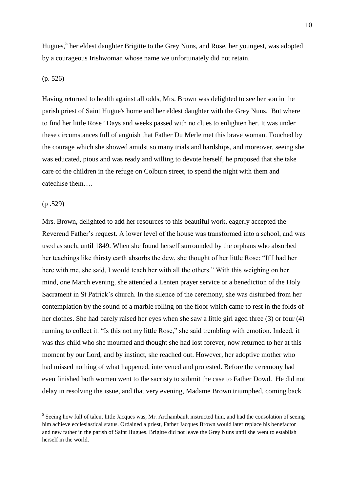Hugues,<sup>5</sup> her eldest daughter Brigitte to the Grey Nuns, and Rose, her youngest, was adopted by a courageous Irishwoman whose name we unfortunately did not retain.

#### (p. 526)

Having returned to health against all odds, Mrs. Brown was delighted to see her son in the parish priest of Saint Hugue's home and her eldest daughter with the Grey Nuns. But where to find her little Rose? Days and weeks passed with no clues to enlighten her. It was under these circumstances full of anguish that Father Du Merle met this brave woman. Touched by the courage which she showed amidst so many trials and hardships, and moreover, seeing she was educated, pious and was ready and willing to devote herself, he proposed that she take care of the children in the refuge on Colburn street, to spend the night with them and catechise them….

## (p .529)

Mrs. Brown, delighted to add her resources to this beautiful work, eagerly accepted the Reverend Father's request. A lower level of the house was transformed into a school, and was used as such, until 1849. When she found herself surrounded by the orphans who absorbed her teachings like thirsty earth absorbs the dew, she thought of her little Rose: "If I had her here with me, she said, I would teach her with all the others." With this weighing on her mind, one March evening, she attended a Lenten prayer service or a benediction of the Holy Sacrament in St Patrick's church. In the silence of the ceremony, she was disturbed from her contemplation by the sound of a marble rolling on the floor which came to rest in the folds of her clothes. She had barely raised her eyes when she saw a little girl aged three (3) or four (4) running to collect it. "Is this not my little Rose," she said trembling with emotion. Indeed, it was this child who she mourned and thought she had lost forever, now returned to her at this moment by our Lord, and by instinct, she reached out. However, her adoptive mother who had missed nothing of what happened, intervened and protested. Before the ceremony had even finished both women went to the sacristy to submit the case to Father Dowd. He did not delay in resolving the issue, and that very evening, Madame Brown triumphed, coming back

<sup>&</sup>lt;sup>5</sup> Seeing how full of talent little Jacques was, Mr. Archambault instructed him, and had the consolation of seeing him achieve ecclesiastical status. Ordained a priest, Father Jacques Brown would later replace his benefactor and new father in the parish of Saint Hugues. Brigitte did not leave the Grey Nuns until she went to establish herself in the world.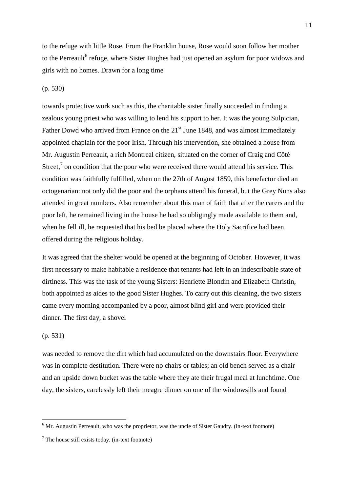to the refuge with little Rose. From the Franklin house, Rose would soon follow her mother to the Perreault<sup>6</sup> refuge, where Sister Hughes had just opened an asylum for poor widows and girls with no homes. Drawn for a long time

# (p. 530)

towards protective work such as this, the charitable sister finally succeeded in finding a zealous young priest who was willing to lend his support to her. It was the young Sulpician, Father Dowd who arrived from France on the  $21<sup>st</sup>$  June 1848, and was almost immediately appointed chaplain for the poor Irish. Through his intervention, she obtained a house from Mr. Augustin Perreault, a rich Montreal citizen, situated on the corner of Craig and Côté Street, $<sup>7</sup>$  on condition that the poor who were received there would attend his service. This</sup> condition was faithfully fulfilled, when on the 27th of August 1859, this benefactor died an octogenarian: not only did the poor and the orphans attend his funeral, but the Grey Nuns also attended in great numbers. Also remember about this man of faith that after the carers and the poor left, he remained living in the house he had so obligingly made available to them and, when he fell ill, he requested that his bed be placed where the Holy Sacrifice had been offered during the religious holiday.

It was agreed that the shelter would be opened at the beginning of October. However, it was first necessary to make habitable a residence that tenants had left in an indescribable state of dirtiness. This was the task of the young Sisters: Henriette Blondin and Elizabeth Christin, both appointed as aides to the good Sister Hughes. To carry out this cleaning, the two sisters came every morning accompanied by a poor, almost blind girl and were provided their dinner. The first day, a shovel

# (p. 531)

 $\overline{a}$ 

was needed to remove the dirt which had accumulated on the downstairs floor. Everywhere was in complete destitution. There were no chairs or tables; an old bench served as a chair and an upside down bucket was the table where they ate their frugal meal at lunchtime. One day, the sisters, carelessly left their meagre dinner on one of the windowsills and found

 $6$  Mr. Augustin Perreault, who was the proprietor, was the uncle of Sister Gaudry. (in-text footnote)

 $<sup>7</sup>$  The house still exists today. (in-text footnote)</sup>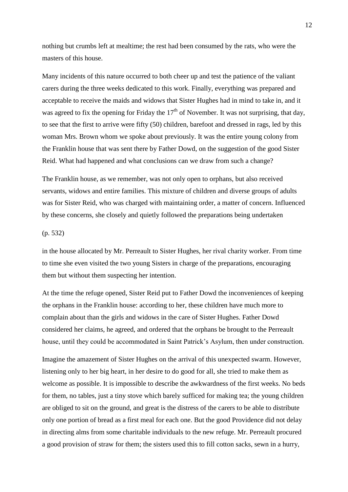nothing but crumbs left at mealtime; the rest had been consumed by the rats, who were the masters of this house.

Many incidents of this nature occurred to both cheer up and test the patience of the valiant carers during the three weeks dedicated to this work. Finally, everything was prepared and acceptable to receive the maids and widows that Sister Hughes had in mind to take in, and it was agreed to fix the opening for Friday the  $17<sup>th</sup>$  of November. It was not surprising, that day, to see that the first to arrive were fifty (50) children, barefoot and dressed in rags, led by this woman Mrs. Brown whom we spoke about previously. It was the entire young colony from the Franklin house that was sent there by Father Dowd, on the suggestion of the good Sister Reid. What had happened and what conclusions can we draw from such a change?

The Franklin house, as we remember, was not only open to orphans, but also received servants, widows and entire families. This mixture of children and diverse groups of adults was for Sister Reid, who was charged with maintaining order, a matter of concern. Influenced by these concerns, she closely and quietly followed the preparations being undertaken

# (p. 532)

in the house allocated by Mr. Perreault to Sister Hughes, her rival charity worker. From time to time she even visited the two young Sisters in charge of the preparations, encouraging them but without them suspecting her intention.

At the time the refuge opened, Sister Reid put to Father Dowd the inconveniences of keeping the orphans in the Franklin house: according to her, these children have much more to complain about than the girls and widows in the care of Sister Hughes. Father Dowd considered her claims, he agreed, and ordered that the orphans be brought to the Perreault house, until they could be accommodated in Saint Patrick's Asylum, then under construction.

Imagine the amazement of Sister Hughes on the arrival of this unexpected swarm. However, listening only to her big heart, in her desire to do good for all, she tried to make them as welcome as possible. It is impossible to describe the awkwardness of the first weeks. No beds for them, no tables, just a tiny stove which barely sufficed for making tea; the young children are obliged to sit on the ground, and great is the distress of the carers to be able to distribute only one portion of bread as a first meal for each one. But the good Providence did not delay in directing alms from some charitable individuals to the new refuge. Mr. Perreault procured a good provision of straw for them; the sisters used this to fill cotton sacks, sewn in a hurry,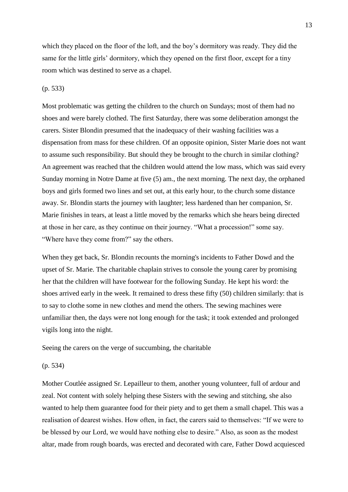which they placed on the floor of the loft, and the boy's dormitory was ready. They did the same for the little girls' dormitory, which they opened on the first floor, except for a tiny room which was destined to serve as a chapel.

# (p. 533)

Most problematic was getting the children to the church on Sundays; most of them had no shoes and were barely clothed. The first Saturday, there was some deliberation amongst the carers. Sister Blondin presumed that the inadequacy of their washing facilities was a dispensation from mass for these children. Of an opposite opinion, Sister Marie does not want to assume such responsibility. But should they be brought to the church in similar clothing? An agreement was reached that the children would attend the low mass, which was said every Sunday morning in Notre Dame at five (5) am., the next morning. The next day, the orphaned boys and girls formed two lines and set out, at this early hour, to the church some distance away. Sr. Blondin starts the journey with laughter; less hardened than her companion, Sr. Marie finishes in tears, at least a little moved by the remarks which she hears being directed at those in her care, as they continue on their journey. "What a procession!" some say. "Where have they come from?" say the others.

When they get back, Sr. Blondin recounts the morning's incidents to Father Dowd and the upset of Sr. Marie. The charitable chaplain strives to console the young carer by promising her that the children will have footwear for the following Sunday. He kept his word: the shoes arrived early in the week. It remained to dress these fifty (50) children similarly: that is to say to clothe some in new clothes and mend the others. The sewing machines were unfamiliar then, the days were not long enough for the task; it took extended and prolonged vigils long into the night.

Seeing the carers on the verge of succumbing, the charitable

#### (p. 534)

Mother Coutlée assigned Sr. Lepailleur to them, another young volunteer, full of ardour and zeal. Not content with solely helping these Sisters with the sewing and stitching, she also wanted to help them guarantee food for their piety and to get them a small chapel. This was a realisation of dearest wishes. How often, in fact, the carers said to themselves: "If we were to be blessed by our Lord, we would have nothing else to desire." Also, as soon as the modest altar, made from rough boards, was erected and decorated with care, Father Dowd acquiesced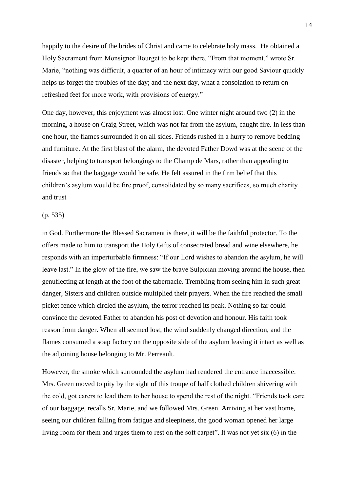happily to the desire of the brides of Christ and came to celebrate holy mass. He obtained a Holy Sacrament from Monsignor Bourget to be kept there. "From that moment," wrote Sr. Marie, "nothing was difficult, a quarter of an hour of intimacy with our good Saviour quickly helps us forget the troubles of the day; and the next day, what a consolation to return on refreshed feet for more work, with provisions of energy."

One day, however, this enjoyment was almost lost. One winter night around two (2) in the morning, a house on Craig Street, which was not far from the asylum, caught fire. In less than one hour, the flames surrounded it on all sides. Friends rushed in a hurry to remove bedding and furniture. At the first blast of the alarm, the devoted Father Dowd was at the scene of the disaster, helping to transport belongings to the Champ de Mars, rather than appealing to friends so that the baggage would be safe. He felt assured in the firm belief that this children's asylum would be fire proof, consolidated by so many sacrifices, so much charity and trust

# (p. 535)

in God. Furthermore the Blessed Sacrament is there, it will be the faithful protector. To the offers made to him to transport the Holy Gifts of consecrated bread and wine elsewhere, he responds with an imperturbable firmness: "If our Lord wishes to abandon the asylum, he will leave last." In the glow of the fire, we saw the brave Sulpician moving around the house, then genuflecting at length at the foot of the tabernacle. Trembling from seeing him in such great danger, Sisters and children outside multiplied their prayers. When the fire reached the small picket fence which circled the asylum, the terror reached its peak. Nothing so far could convince the devoted Father to abandon his post of devotion and honour. His faith took reason from danger. When all seemed lost, the wind suddenly changed direction, and the flames consumed a soap factory on the opposite side of the asylum leaving it intact as well as the adjoining house belonging to Mr. Perreault.

However, the smoke which surrounded the asylum had rendered the entrance inaccessible. Mrs. Green moved to pity by the sight of this troupe of half clothed children shivering with the cold, got carers to lead them to her house to spend the rest of the night. "Friends took care of our baggage, recalls Sr. Marie, and we followed Mrs. Green. Arriving at her vast home, seeing our children falling from fatigue and sleepiness, the good woman opened her large living room for them and urges them to rest on the soft carpet". It was not yet six (6) in the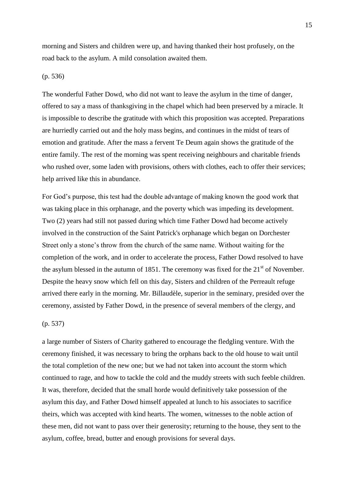morning and Sisters and children were up, and having thanked their host profusely, on the road back to the asylum. A mild consolation awaited them.

# (p. 536)

The wonderful Father Dowd, who did not want to leave the asylum in the time of danger, offered to say a mass of thanksgiving in the chapel which had been preserved by a miracle. It is impossible to describe the gratitude with which this proposition was accepted. Preparations are hurriedly carried out and the holy mass begins, and continues in the midst of tears of emotion and gratitude. After the mass a fervent Te Deum again shows the gratitude of the entire family. The rest of the morning was spent receiving neighbours and charitable friends who rushed over, some laden with provisions, others with clothes, each to offer their services; help arrived like this in abundance.

For God's purpose, this test had the double advantage of making known the good work that was taking place in this orphanage, and the poverty which was impeding its development. Two (2) years had still not passed during which time Father Dowd had become actively involved in the construction of the Saint Patrick's orphanage which began on Dorchester Street only a stone's throw from the church of the same name. Without waiting for the completion of the work, and in order to accelerate the process, Father Dowd resolved to have the asylum blessed in the autumn of 1851. The ceremony was fixed for the  $21<sup>st</sup>$  of November. Despite the heavy snow which fell on this day, Sisters and children of the Perreault refuge arrived there early in the morning. Mr. Billaudèle, superior in the seminary, presided over the ceremony, assisted by Father Dowd, in the presence of several members of the clergy, and

# (p. 537)

a large number of Sisters of Charity gathered to encourage the fledgling venture. With the ceremony finished, it was necessary to bring the orphans back to the old house to wait until the total completion of the new one; but we had not taken into account the storm which continued to rage, and how to tackle the cold and the muddy streets with such feeble children. It was, therefore, decided that the small horde would definitively take possession of the asylum this day, and Father Dowd himself appealed at lunch to his associates to sacrifice theirs, which was accepted with kind hearts. The women, witnesses to the noble action of these men, did not want to pass over their generosity; returning to the house, they sent to the asylum, coffee, bread, butter and enough provisions for several days.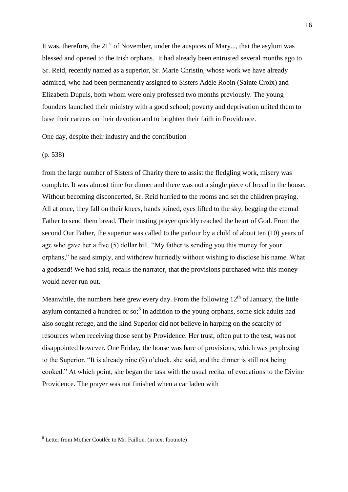It was, therefore, the  $21<sup>st</sup>$  of November, under the auspices of Mary..., that the asylum was blessed and opened to the Irish orphans. It had already been entrusted several months ago to Sr. Reid, recently named as a superior, Sr. Marie Christin, whose work we have already admired, who had been permanently assigned to Sisters Adèle Robin (Sainte Croix) and Elizabeth Dupuis, both whom were only professed two months previously. The young founders launched their ministry with a good school; poverty and deprivation united them to base their careers on their devotion and to brighten their faith in Providence.

One day, despite their industry and the contribution

#### (p. 538)

1

from the large number of Sisters of Charity there to assist the fledgling work, misery was complete. It was almost time for dinner and there was not a single piece of bread in the house. Without becoming disconcerted, Sr. Reid hurried to the rooms and set the children praying. All at once, they fall on their knees, hands joined, eyes lifted to the sky, begging the eternal Father to send them bread. Their trusting prayer quickly reached the heart of God. From the second Our Father, the superior was called to the parlour by a child of about ten (10) years of age who gave her a five (5) dollar bill. "My father is sending you this money for your orphans," he said simply, and withdrew hurriedly without wishing to disclose his name. What a godsend! We had said, recalls the narrator, that the provisions purchased with this money would never run out.

Meanwhile, the numbers here grew every day. From the following  $12<sup>th</sup>$  of January, the little asylum contained a hundred or so; $<sup>8</sup>$  in addition to the young orphans, some sick adults had</sup> also sought refuge, and the kind Superior did not believe in harping on the scarcity of resources when receiving those sent by Providence. Her trust, often put to the test, was not disappointed however. One Friday, the house was bare of provisions, which was perplexing to the Superior. "It is already nine (9) o'clock, she said, and the dinner is still not being cooked." At which point, she began the task with the usual recital of evocations to the Divine Providence. The prayer was not finished when a car laden with

<sup>8</sup> Letter from Mother Coutlée to Mr. Faillon. (in text footnote)